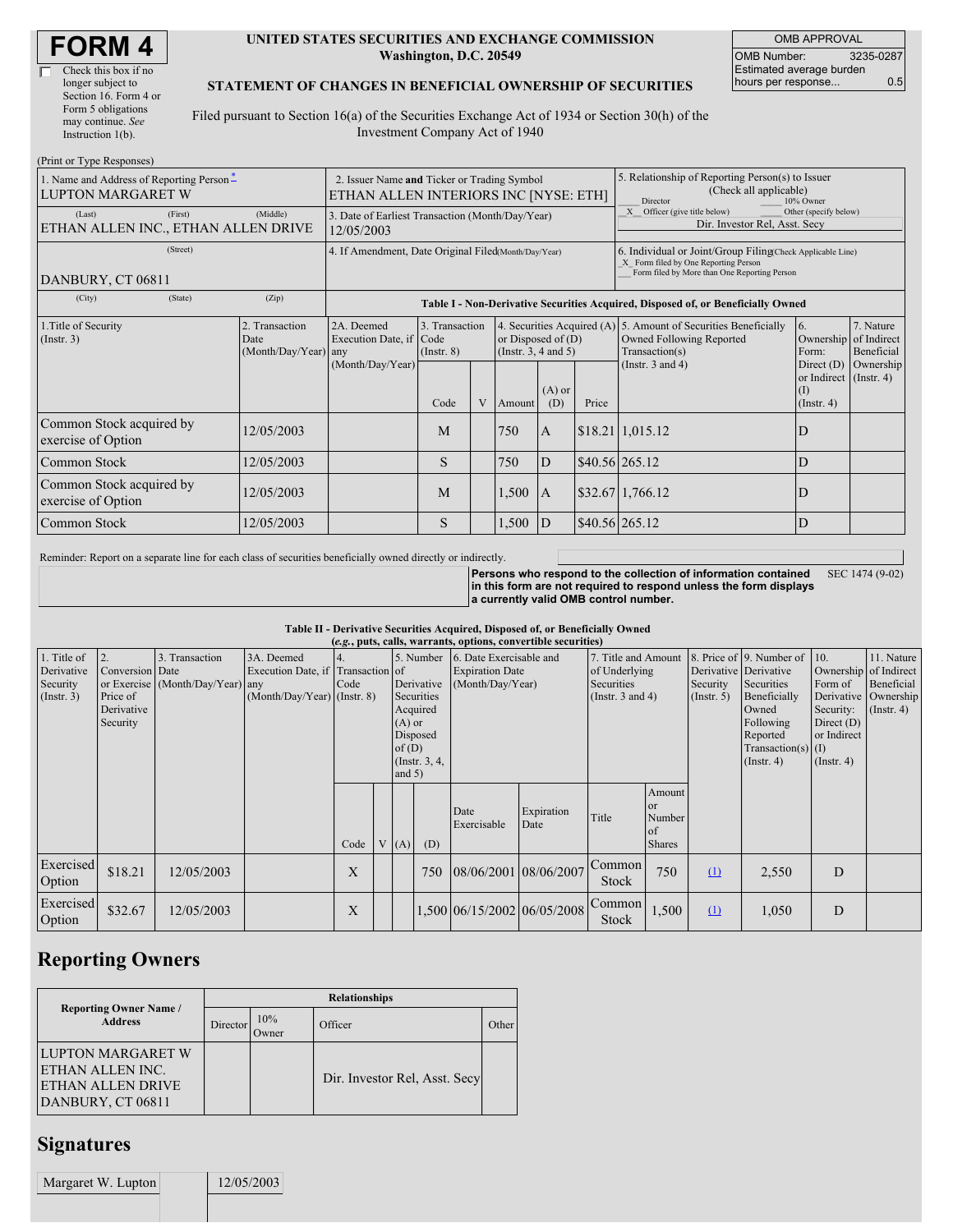#### **UNITED STATES SECURITIES AND EXCHANGE COMMISSION Washington, D.C. 20549**

OMB APPROVAL OMB Number: 3235-0287 Estimated average burden hours per response... 0.5

### **STATEMENT OF CHANGES IN BENEFICIAL OWNERSHIP OF SECURITIES**

Filed pursuant to Section 16(a) of the Securities Exchange Act of 1934 or Section 30(h) of the Investment Company Act of 1940

| (Print or Type Responses)                                            |                                                                                      |                                                                                  |                                                                                                                                                                                         |  |       |                                                                                                                                                                                                                                                                   |                                                                                                                                                    |                                      |             |  |  |
|----------------------------------------------------------------------|--------------------------------------------------------------------------------------|----------------------------------------------------------------------------------|-----------------------------------------------------------------------------------------------------------------------------------------------------------------------------------------|--|-------|-------------------------------------------------------------------------------------------------------------------------------------------------------------------------------------------------------------------------------------------------------------------|----------------------------------------------------------------------------------------------------------------------------------------------------|--------------------------------------|-------------|--|--|
| 1. Name and Address of Reporting Person-<br><b>LUPTON MARGARET W</b> | 2. Issuer Name and Ticker or Trading Symbol<br>ETHAN ALLEN INTERIORS INC [NYSE: ETH] |                                                                                  |                                                                                                                                                                                         |  |       | 5. Relationship of Reporting Person(s) to Issuer<br>(Check all applicable)<br>Director<br>10% Owner                                                                                                                                                               |                                                                                                                                                    |                                      |             |  |  |
| (First)<br>(Last)<br>ETHAN ALLEN INC., ETHAN ALLEN DRIVE             | 3. Date of Earliest Transaction (Month/Day/Year)<br>12/05/2003                       |                                                                                  |                                                                                                                                                                                         |  |       |                                                                                                                                                                                                                                                                   | X Officer (give title below)<br>Other (specify below)<br>Dir. Investor Rel, Asst. Secy                                                             |                                      |             |  |  |
| (Street)<br>DANBURY, CT 06811                                        | 4. If Amendment, Date Original Filed(Month/Day/Year)                                 |                                                                                  |                                                                                                                                                                                         |  |       |                                                                                                                                                                                                                                                                   | 6. Individual or Joint/Group Filing(Check Applicable Line)<br>X Form filed by One Reporting Person<br>Form filed by More than One Reporting Person |                                      |             |  |  |
| (City)<br>(State)                                                    | (Zip)                                                                                | Table I - Non-Derivative Securities Acquired, Disposed of, or Beneficially Owned |                                                                                                                                                                                         |  |       |                                                                                                                                                                                                                                                                   |                                                                                                                                                    |                                      |             |  |  |
| 1. Title of Security<br>(Insert. 3)                                  | 2. Transaction<br>Date<br>(Month/Day/Year) any                                       |                                                                                  | 3. Transaction<br>Execution Date, if Code<br>or Disposed of $(D)$<br>(Instr. $3, 4$ and $5$ )<br>$($ Instr. $8)$<br>(Month/Day/Year)<br>$(A)$ or<br>V<br>Code<br>(D)<br>Price<br>Amount |  |       | 4. Securities Acquired (A) 5. Amount of Securities Beneficially<br>$\overline{6}$ .<br>Owned Following Reported<br>Ownership of Indirect<br>Transaction(s)<br>Form:<br>(Instr. $3$ and $4$ )<br>Direct $(D)$<br>or Indirect (Instr. 4)<br>(I)<br>$($ Instr. 4 $)$ |                                                                                                                                                    | 7. Nature<br>Beneficial<br>Ownership |             |  |  |
| Common Stock acquired by<br>exercise of Option                       | 12/05/2003                                                                           |                                                                                  | M                                                                                                                                                                                       |  | 750   | $\mathbf{A}$                                                                                                                                                                                                                                                      |                                                                                                                                                    | $$18.21 \mid 1,015.12$               | $\mathbf D$ |  |  |
| Common Stock                                                         | 12/05/2003                                                                           |                                                                                  | S                                                                                                                                                                                       |  | 750   | D                                                                                                                                                                                                                                                                 |                                                                                                                                                    | $$40.56$ 265.12                      | D           |  |  |
| Common Stock acquired by<br>exercise of Option                       | 12/05/2003                                                                           |                                                                                  | M                                                                                                                                                                                       |  | 1,500 | $\mathsf{A}$                                                                                                                                                                                                                                                      |                                                                                                                                                    | \$32.67 1,766.12                     | ID          |  |  |
| Common Stock                                                         | 12/05/2003                                                                           |                                                                                  | S                                                                                                                                                                                       |  | 1,500 | D                                                                                                                                                                                                                                                                 |                                                                                                                                                    | \$40.56 265.12                       | ID          |  |  |

Reminder: Report on a separate line for each class of securities beneficially owned directly or indirectly.

**Persons who respond to the collection of information contained in this form are not required to respond unless the form displays a currently valid OMB control number.** SEC 1474 (9-02)

#### **Table II - Derivative Securities Acquired, Disposed of, or Beneficially Owned**

| (e.g., puts, calls, warrants, options, convertible securities) |                                                       |                                                    |                                                                                  |      |  |                              |                                                  |                                                                                 |                    |                                                                             |                                                        |                                                  |                                                                                          |                                                            |                                                                                            |
|----------------------------------------------------------------|-------------------------------------------------------|----------------------------------------------------|----------------------------------------------------------------------------------|------|--|------------------------------|--------------------------------------------------|---------------------------------------------------------------------------------|--------------------|-----------------------------------------------------------------------------|--------------------------------------------------------|--------------------------------------------------|------------------------------------------------------------------------------------------|------------------------------------------------------------|--------------------------------------------------------------------------------------------|
| 1. Title of<br>Derivative<br>Security<br>(Insert. 3)           | Conversion Date<br>Price of<br>Derivative<br>Security | 3. Transaction<br>or Exercise (Month/Day/Year) any | 3A. Deemed<br>Execution Date, if Transaction of<br>$(Month/Day/Year)$ (Instr. 8) | Code |  | $(A)$ or                     | Derivative<br>Securities<br>Acquired<br>Disposed | 5. Number 6. Date Exercisable and<br><b>Expiration Date</b><br>(Month/Day/Year) |                    | 7. Title and Amount<br>of Underlying<br>Securities<br>(Instr. $3$ and $4$ ) |                                                        | Derivative Derivative<br>Security<br>(Insert. 5) | 8. Price of 9. Number of<br>Securities<br>Beneficially<br>Owned<br>Following<br>Reported | 10.<br>Form of<br>Security:<br>Direct $(D)$<br>or Indirect | 11. Nature<br>Ownership of Indirect<br>Beneficial<br>Derivative Ownership<br>$($ Instr. 4) |
|                                                                |                                                       |                                                    |                                                                                  | Code |  | of $(D)$<br>and $5)$<br>V(A) | (Instr. $3, 4,$<br>(D)                           | Date<br>Exercisable                                                             | Expiration<br>Date | Title                                                                       | Amount<br><b>or</b><br>Number<br>l of<br><b>Shares</b> |                                                  | Transaction(s) $(I)$<br>$($ Instr. 4 $)$                                                 | $($ Instr. 4 $)$                                           |                                                                                            |
| Exercised<br>Option                                            | \$18.21                                               | 12/05/2003                                         |                                                                                  | X    |  |                              | 750                                              | $08/06/2001$ 08/06/2007                                                         |                    | Common<br>Stock                                                             | 750                                                    | $\Omega$                                         | 2,550                                                                                    | D                                                          |                                                                                            |
| Exercised<br>Option                                            | \$32.67                                               | 12/05/2003                                         |                                                                                  | X    |  |                              |                                                  | 1,500 06/15/2002 06/05/2008                                                     |                    | Common<br>Stock                                                             | 1,500                                                  | $\Omega$                                         | 1,050                                                                                    | D                                                          |                                                                                            |

## **Reporting Owners**

|                                                                                  | <b>Relationships</b> |                     |                               |       |  |  |  |  |  |  |
|----------------------------------------------------------------------------------|----------------------|---------------------|-------------------------------|-------|--|--|--|--|--|--|
| <b>Reporting Owner Name</b> /<br><b>Address</b>                                  | <b>Director</b>      | 10%<br><b>Twner</b> | Officer                       | Other |  |  |  |  |  |  |
| LUPTON MARGARET W<br>ETHAN ALLEN INC.<br>IETHAN ALLEN DRIVE<br>DANBURY, CT 06811 |                      |                     | Dir. Investor Rel, Asst. Secy |       |  |  |  |  |  |  |

### **Signatures**

Margaret W. Lupton 12/05/2003